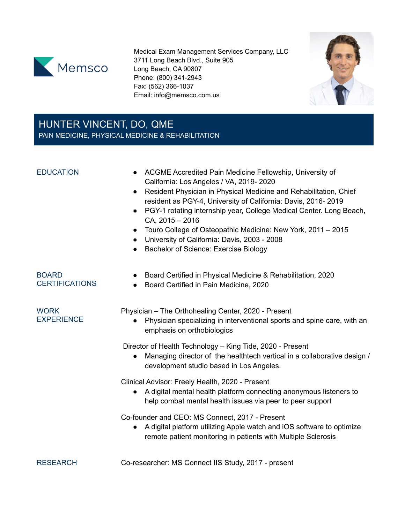

Medical Exam Management Services Company, LLC 3711 Long Beach Blvd., Suite 905 Long Beach, CA 90807 Phone: (800) 341-2943 Fax: (562) 366-1037 Email: info@memsco.com.us



# HUNTER VINCENT, DO, QME PAIN MEDICINE, PHYSICAL MEDICINE & REHABILITATION

- EDUCATION ACGME Accredited Pain Medicine Fellowship, University of California: Los Angeles / VA, 2019- 2020
	- Resident Physician in Physical Medicine and Rehabilitation, Chief resident as PGY-4, University of California: Davis, 2016- 2019
	- PGY-1 rotating internship year, College Medical Center. Long Beach, CA, 2015 – 2016
	- Touro College of Osteopathic Medicine: New York, 2011 2015
	- University of California: Davis, 2003 2008
	- Bachelor of Science: Exercise Biology

| <b>BOARD</b><br><b>CERTIFICATIONS</b> | Board Certified in Physical Medicine & Rehabilitation, 2020<br>Board Certified in Pain Medicine, 2020<br>$\bullet$                                                                       |
|---------------------------------------|------------------------------------------------------------------------------------------------------------------------------------------------------------------------------------------|
| <b>WORK</b><br><b>EXPERIENCE</b>      | Physician – The Orthohealing Center, 2020 - Present<br>Physician specializing in interventional sports and spine care, with an<br>emphasis on orthobiologics                             |
|                                       | Director of Health Technology - King Tide, 2020 - Present<br>Managing director of the healthtech vertical in a collaborative design /<br>development studio based in Los Angeles.        |
|                                       | Clinical Advisor: Freely Health, 2020 - Present<br>A digital mental health platform connecting anonymous listeners to<br>help combat mental health issues via peer to peer support       |
|                                       | Co-founder and CEO: MS Connect, 2017 - Present<br>A digital platform utilizing Apple watch and iOS software to optimize<br>remote patient monitoring in patients with Multiple Sclerosis |
|                                       |                                                                                                                                                                                          |

RESEARCH Co-researcher: MS Connect IIS Study, 2017 - present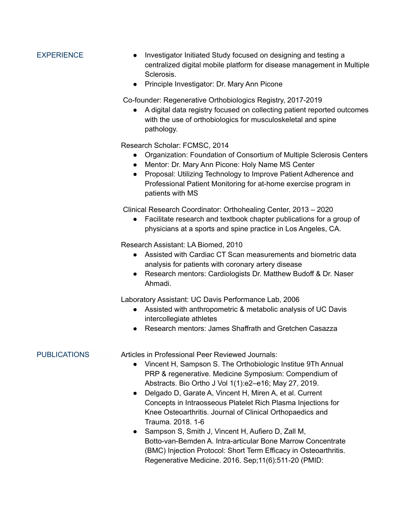- EXPERIENCE Investigator Initiated Study focused on designing and testing a centralized digital mobile platform for disease management in Multiple Sclerosis.
	- Principle Investigator: Dr. Mary Ann Picone

Co-founder: Regenerative Orthobiologics Registry, 2017-2019

● A digital data registry focused on collecting patient reported outcomes with the use of orthobiologics for musculoskeletal and spine pathology.

Research Scholar: FCMSC, 2014

- Organization: Foundation of Consortium of Multiple Sclerosis Centers
- Mentor: Dr. Mary Ann Picone: Holy Name MS Center
- Proposal: Utilizing Technology to Improve Patient Adherence and Professional Patient Monitoring for at-home exercise program in patients with MS

Clinical Research Coordinator: Orthohealing Center, 2013 – 2020

● Facilitate research and textbook chapter publications for a group of physicians at a sports and spine practice in Los Angeles, CA.

Research Assistant: LA Biomed, 2010

- Assisted with Cardiac CT Scan measurements and biometric data analysis for patients with coronary artery disease
- Research mentors: Cardiologists Dr. Matthew Budoff & Dr. Naser Ahmadi.

Laboratory Assistant: UC Davis Performance Lab, 2006

- Assisted with anthropometric & metabolic analysis of UC Davis intercollegiate athletes
- Research mentors: James Shaffrath and Gretchen Casazza

PUBLICATIONS Articles in Professional Peer Reviewed Journals:

- Vincent H, Sampson S. The Orthobiologic Institue 9Th Annual PRP & regenerative. Medicine Symposium: Compendium of Abstracts. Bio Ortho J Vol 1(1):e2–e16; May 27, 2019.
- Delgado D, Garate A, Vincent H, Miren A, et al. Current Concepts in Intraosseous Platelet Rich Plasma Injections for Knee Osteoarthritis. Journal of Clinical Orthopaedics and Trauma. 2018. 1-6
- Sampson S, Smith J, Vincent H, Aufiero D, Zall M, Botto-van-Bemden A. Intra-articular Bone Marrow Concentrate (BMC) Injection Protocol: Short Term Efficacy in Osteoarthritis. Regenerative Medicine. 2016. Sep;11(6):511-20 (PMID: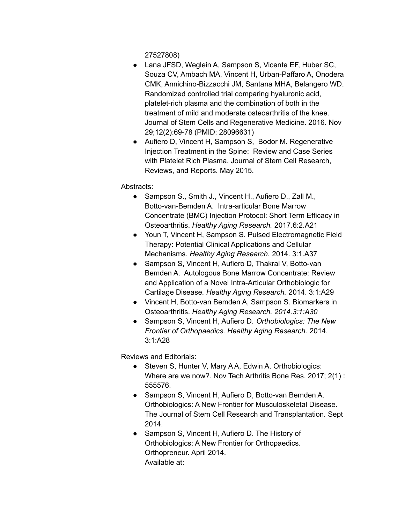27527808)

- Lana JFSD, Weglein A, Sampson S, Vicente EF, Huber SC, Souza CV, Ambach MA, Vincent H, Urban-Paffaro A, Onodera CMK, Annichino-Bizzacchi JM, Santana MHA, Belangero WD. Randomized controlled trial comparing hyaluronic acid, platelet-rich plasma and the combination of both in the treatment of mild and moderate osteoarthritis of the knee. Journal of Stem Cells and Regenerative Medicine. 2016. Nov 29;12(2):69-78 (PMID: 28096631)
- Aufiero D, Vincent H, Sampson S, Bodor M. Regenerative Injection Treatment in the Spine: Review and Case Series with Platelet Rich Plasma. Journal of Stem Cell Research, Reviews, and Reports*.* May 2015.

## Abstracts:

- Sampson S., Smith J., Vincent H., Aufiero D., Zall M., Botto-van-Bemden A. Intra-articular Bone Marrow Concentrate (BMC) Injection Protocol: Short Term Efficacy in Osteoarthritis. *Healthy Aging Research.* 2017.6:2.A21
- Youn T, Vincent H, Sampson S. Pulsed Electromagnetic Field Therapy: Potential Clinical Applications and Cellular Mechanisms. *Healthy Aging Research.* 2014. 3:1.A37
- Sampson S, Vincent H, Aufiero D, Thakral V, Botto-van Bemden A. Autologous Bone Marrow Concentrate: Review and Application of a Novel Intra-Articular Orthobiologic for Cartilage Disease*. Healthy Aging Research.* 2014. 3:1:A29
- Vincent H, Botto-van Bemden A, Sampson S. Biomarkers in Osteoarthritis. *Healthy Aging Research. 2014.3:1:A30*
- Sampson S, Vincent H, Aufiero D. *Orthobiologics: The New Frontier of Orthopaedics. Healthy Aging Research*. 2014. 3:1:A28

Reviews and Editorials:

- Steven S, Hunter V, Mary A A, Edwin A. Orthobiologics: Where are we now?. Nov Tech Arthritis Bone Res. 2017; 2(1) : 555576.
- Sampson S, Vincent H, Aufiero D, Botto-van Bemden A. Orthobiologics: A New Frontier for Musculoskeletal Disease. The Journal of Stem Cell Research and Transplantation*.* Sept 2014.
- Sampson S, Vincent H, Aufiero D. The History of Orthobiologics: A New Frontier for Orthopaedics. Orthopreneur. April 2014. Available at: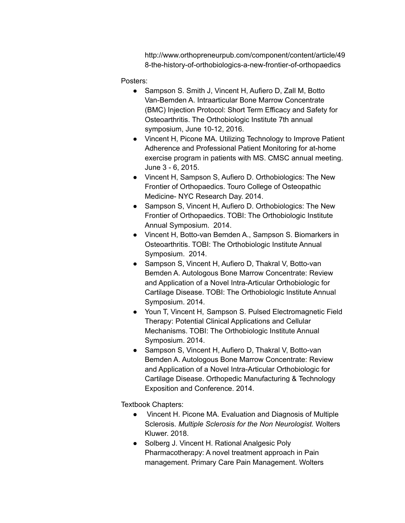http://www.orthopreneurpub.com/component/content/article/49 8-the-history-of-orthobiologics-a-new-frontier-of-orthopaedics

Posters:

- Sampson S. Smith J, Vincent H, Aufiero D, Zall M, Botto Van-Bemden A. Intraarticular Bone Marrow Concentrate (BMC) Injection Protocol: Short Term Efficacy and Safety for Osteoarthritis. The Orthobiologic Institute 7th annual symposium, June 10-12, 2016.
- Vincent H, Picone MA. Utilizing Technology to Improve Patient Adherence and Professional Patient Monitoring for at-home exercise program in patients with MS. CMSC annual meeting. June 3 - 6, 2015.
- Vincent H, Sampson S, Aufiero D. Orthobiologics: The New Frontier of Orthopaedics. Touro College of Osteopathic Medicine- NYC Research Day. 2014.
- Sampson S, Vincent H, Aufiero D. Orthobiologics: The New Frontier of Orthopaedics. TOBI: The Orthobiologic Institute Annual Symposium. 2014.
- Vincent H, Botto-van Bemden A., Sampson S. Biomarkers in Osteoarthritis. TOBI: The Orthobiologic Institute Annual Symposium. 2014.
- Sampson S, Vincent H, Aufiero D, Thakral V, Botto-van Bemden A. Autologous Bone Marrow Concentrate: Review and Application of a Novel Intra-Articular Orthobiologic for Cartilage Disease. TOBI: The Orthobiologic Institute Annual Symposium. 2014.
- Youn T, Vincent H, Sampson S. Pulsed Electromagnetic Field Therapy: Potential Clinical Applications and Cellular Mechanisms. TOBI: The Orthobiologic Institute Annual Symposium. 2014.
- Sampson S, Vincent H, Aufiero D, Thakral V, Botto-van Bemden A. Autologous Bone Marrow Concentrate: Review and Application of a Novel Intra-Articular Orthobiologic for Cartilage Disease. Orthopedic Manufacturing & Technology Exposition and Conference. 2014.

Textbook Chapters:

- Vincent H. Picone MA. Evaluation and Diagnosis of Multiple Sclerosis. *Multiple Sclerosis for the Non Neurologist.* Wolters Kluwer. 2018.
- Solberg J. Vincent H. Rational Analgesic Poly Pharmacotherapy: A novel treatment approach in Pain management. Primary Care Pain Management. Wolters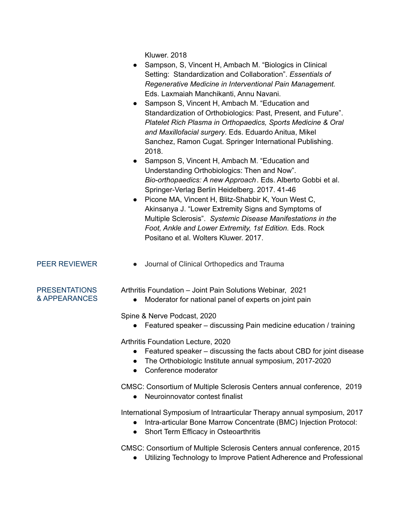Kluwer. 2018

- Sampson, S, Vincent H, Ambach M. "Biologics in Clinical Setting: Standardization and Collaboration". *Essentials of Regenerative Medicine in Interventional Pain Management.* Eds. Laxmaiah Manchikanti, Annu Navani.
- Sampson S, Vincent H, Ambach M. "Education and Standardization of Orthobiologics: Past, Present, and Future". *Platelet Rich Plasma in Orthopaedics, Sports Medicine & Oral and Maxillofacial surgery*. Eds. Eduardo Anitua, Mikel Sanchez, Ramon Cugat. Springer International Publishing. 2018.
- Sampson S, Vincent H, Ambach M, "Education and Understanding Orthobiologics: Then and Now". *Bio-orthopaedics: A new Approach*. Eds. Alberto Gobbi et al. Springer-Verlag Berlin Heidelberg. 2017. 41-46
- Picone MA, Vincent H, Blitz-Shabbir K, Youn West C, Akinsanya J. "Lower Extremity Signs and Symptoms of Multiple Sclerosis". *Systemic Disease Manifestations in the Foot, Ankle and Lower Extremity, 1st Edition.* Eds. Rock Positano et al. Wolters Kluwer. 2017.

PEER REVIEWER • Journal of Clinical Orthopedics and Trauma

## PRESENTATIONS & APPEARANCES

Arthritis Foundation – Joint Pain Solutions Webinar, 2021

• Moderator for national panel of experts on joint pain

Spine & Nerve Podcast, 2020

 $\bullet$  Featured speaker – discussing Pain medicine education / training

Arthritis Foundation Lecture, 2020

- Featured speaker discussing the facts about CBD for joint disease
- The Orthobiologic Institute annual symposium, 2017-2020
- Conference moderator

CMSC: Consortium of Multiple Sclerosis Centers annual conference, 2019

● Neuroinnovator contest finalist

International Symposium of Intraarticular Therapy annual symposium, 2017

- Intra-articular Bone Marrow Concentrate (BMC) Injection Protocol:
- Short Term Efficacy in Osteoarthritis

CMSC: Consortium of Multiple Sclerosis Centers annual conference, 2015

● Utilizing Technology to Improve Patient Adherence and Professional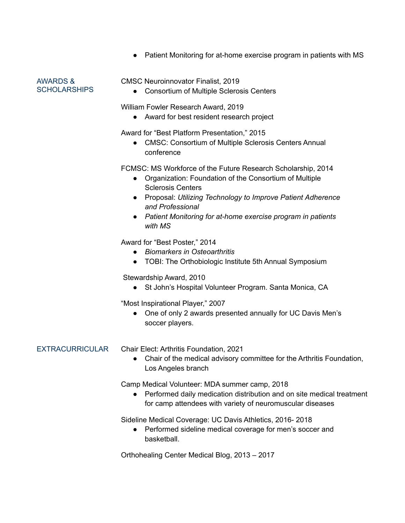• Patient Monitoring for at-home exercise program in patients with MS

AWARDS & SCHOLARSHIPS

### CMSC Neuroinnovator Finalist, 2019

● Consortium of Multiple Sclerosis Centers

William Fowler Research Award, 2019

● Award for best resident research project

Award for "Best Platform Presentation," 2015

● CMSC: Consortium of Multiple Sclerosis Centers Annual conference

FCMSC: MS Workforce of the Future Research Scholarship, 2014

- Organization: Foundation of the Consortium of Multiple Sclerosis Centers
- Proposal: *Utilizing Technology to Improve Patient Adherence and Professional*
- *Patient Monitoring for at-home exercise program in patients with MS*

Award for "Best Poster," 2014

- *Biomarkers in Osteoarthritis*
- TOBI: The Orthobiologic Institute 5th Annual Symposium

Stewardship Award, 2010

● St John's Hospital Volunteer Program. Santa Monica, CA

"Most Inspirational Player," 2007

● One of only 2 awards presented annually for UC Davis Men's soccer players.

EXTRACURRICULAR Chair Elect: Arthritis Foundation, 2021

● Chair of the medical advisory committee for the Arthritis Foundation, Los Angeles branch

Camp Medical Volunteer: MDA summer camp, 2018

● Performed daily medication distribution and on site medical treatment for camp attendees with variety of neuromuscular diseases

Sideline Medical Coverage: UC Davis Athletics, 2016- 2018

● Performed sideline medical coverage for men's soccer and basketball.

Orthohealing Center Medical Blog, 2013 – 2017